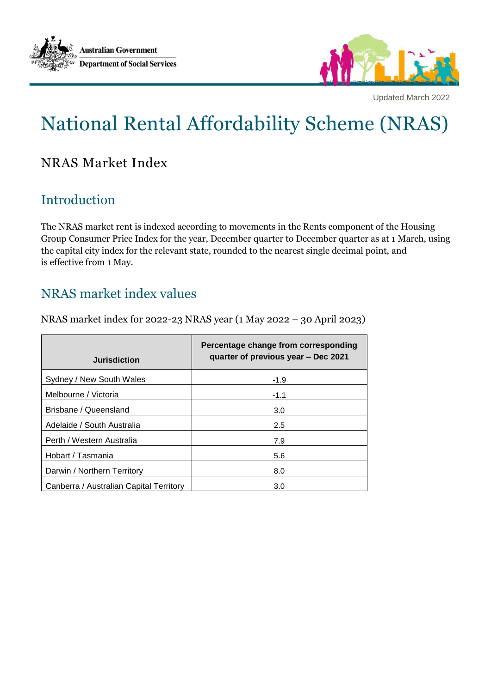



Updated March 2022

# National Rental Affordability Scheme (NRAS)

# NRAS Market Index

## Introduction

The NRAS market rent is indexed according to movements in the Rents component of the Housing Group Consumer Price Index for the year, December quarter to December quarter as at 1 March, using the capital city index for the relevant state, rounded to the nearest single decimal point, and is effective from 1 May.

## NRAS market index values

NRAS market index for 2022-23 NRAS year (1 May 2022 – 30 April 2023)

| <b>Jurisdiction</b>                     | Percentage change from corresponding<br>quarter of previous year – Dec 2021 |
|-----------------------------------------|-----------------------------------------------------------------------------|
| Sydney / New South Wales                | $-1.9$                                                                      |
| Melbourne / Victoria                    | $-1.1$                                                                      |
| Brisbane / Queensland                   | 3.0                                                                         |
| Adelaide / South Australia              | 2.5                                                                         |
| Perth / Western Australia               | 7.9                                                                         |
| Hobart / Tasmania                       | 5.6                                                                         |
| Darwin / Northern Territory             | 8.0                                                                         |
| Canberra / Australian Capital Territory | 3.0                                                                         |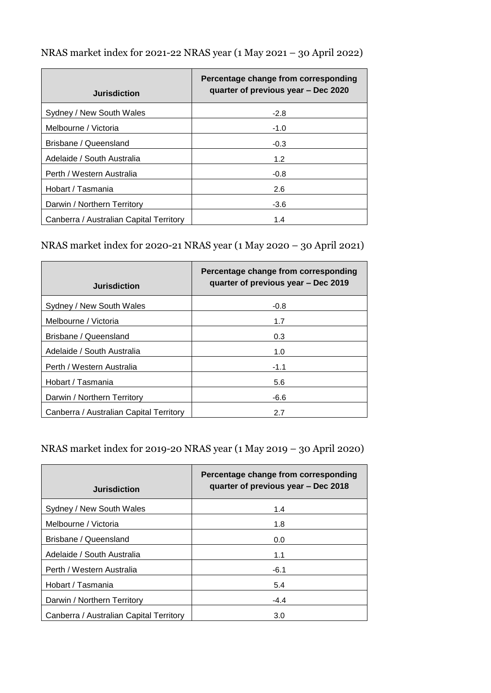| <b>Jurisdiction</b>        | Percentage change from corresponding<br>quarter of previous year - Dec 2020 |
|----------------------------|-----------------------------------------------------------------------------|
| Sydney / New South Wales   | $-2.8$                                                                      |
| Melbourne / Victoria       | $-1.0$                                                                      |
| Brisbane / Queensland      | $-0.3$                                                                      |
| Adelaide / South Australia | 1.2                                                                         |

Perth / Western Australia -0.8 Hobart / Tasmania 2.6 Darwin / Northern Territory **Canadian Control** 43.6 Canberra / Australian Capital Territory | 1.4

NRAS market index for 2021-22 NRAS year (1 May 2021 – 30 April 2022)

| <b>Jurisdiction</b>                     | Percentage change from corresponding<br>quarter of previous year – Dec 2019 |
|-----------------------------------------|-----------------------------------------------------------------------------|
| Sydney / New South Wales                | $-0.8$                                                                      |
| Melbourne / Victoria                    | 1.7                                                                         |
| Brisbane / Queensland                   | 0.3                                                                         |
| Adelaide / South Australia              | 1.0                                                                         |
| Perth / Western Australia               | $-1.1$                                                                      |
| Hobart / Tasmania                       | 5.6                                                                         |
| Darwin / Northern Territory             | -6.6                                                                        |
| Canberra / Australian Capital Territory | 2.7                                                                         |

NRAS market index for 2019-20 NRAS year (1 May 2019 – 30 April 2020)

| <b>Jurisdiction</b>                     | Percentage change from corresponding<br>quarter of previous year - Dec 2018 |
|-----------------------------------------|-----------------------------------------------------------------------------|
| Sydney / New South Wales                | 1.4                                                                         |
| Melbourne / Victoria                    | 1.8                                                                         |
| Brisbane / Queensland                   | 0.0                                                                         |
| Adelaide / South Australia              | 1.1                                                                         |
| Perth / Western Australia               | $-6.1$                                                                      |
| Hobart / Tasmania                       | 5.4                                                                         |
| Darwin / Northern Territory             | $-4.4$                                                                      |
| Canberra / Australian Capital Territory | 3.0                                                                         |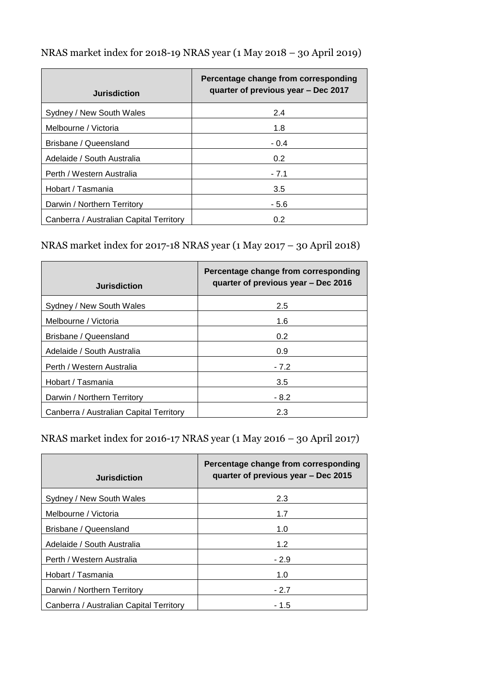| <b>Jurisdiction</b>                     | Percentage change from corresponding<br>quarter of previous year – Dec 2017 |
|-----------------------------------------|-----------------------------------------------------------------------------|
| Sydney / New South Wales                | 2.4                                                                         |
| Melbourne / Victoria                    | 1.8                                                                         |
| Brisbane / Queensland                   | $-0.4$                                                                      |
| Adelaide / South Australia              | 0.2                                                                         |
| Perth / Western Australia               | $-7.1$                                                                      |
| Hobart / Tasmania                       | 3.5                                                                         |
| Darwin / Northern Territory             | $-5.6$                                                                      |
| Canberra / Australian Capital Territory | 0.2                                                                         |

NRAS market index for 2018-19 NRAS year (1 May 2018 – 30 April 2019)

# NRAS market index for 2017-18 NRAS year (1 May 2017 – 30 April 2018)

| <b>Jurisdiction</b>                     | Percentage change from corresponding<br>quarter of previous year – Dec 2016 |
|-----------------------------------------|-----------------------------------------------------------------------------|
| Sydney / New South Wales                | 2.5                                                                         |
| Melbourne / Victoria                    | 1.6                                                                         |
| Brisbane / Queensland                   | 0.2                                                                         |
| Adelaide / South Australia              | 0.9                                                                         |
| Perth / Western Australia               | $-7.2$                                                                      |
| Hobart / Tasmania                       | 3.5                                                                         |
| Darwin / Northern Territory             | - 8.2                                                                       |
| Canberra / Australian Capital Territory | 2.3                                                                         |

NRAS market index for 2016-17 NRAS year (1 May 2016 – 30 April 2017)

| <b>Jurisdiction</b>                     | Percentage change from corresponding<br>quarter of previous year - Dec 2015 |
|-----------------------------------------|-----------------------------------------------------------------------------|
| Sydney / New South Wales                | 2.3                                                                         |
| Melbourne / Victoria                    | 1.7                                                                         |
| Brisbane / Queensland                   | 1.0                                                                         |
| Adelaide / South Australia              | 1.2                                                                         |
| Perth / Western Australia               | $-2.9$                                                                      |
| Hobart / Tasmania                       | 1.0                                                                         |
| Darwin / Northern Territory             | $-2.7$                                                                      |
| Canberra / Australian Capital Territory | - 1.5                                                                       |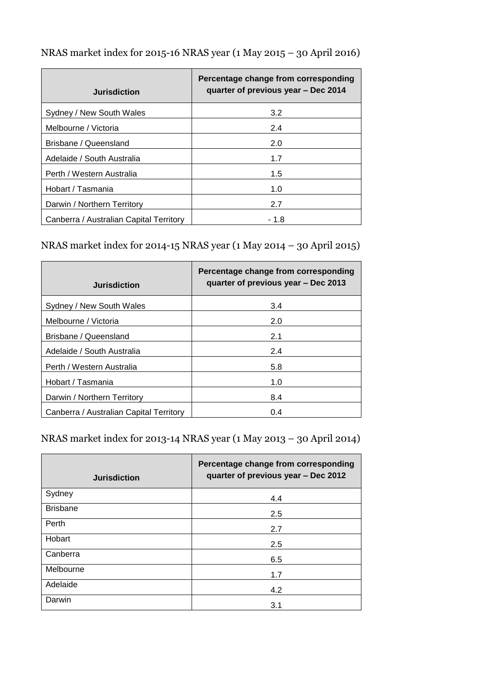| <b>Jurisdiction</b>                     | Percentage change from corresponding<br>quarter of previous year – Dec 2014 |
|-----------------------------------------|-----------------------------------------------------------------------------|
| Sydney / New South Wales                | 3.2                                                                         |
| Melbourne / Victoria                    | 2.4                                                                         |
| Brisbane / Queensland                   | 2.0                                                                         |
| Adelaide / South Australia              | 1.7                                                                         |
| Perth / Western Australia               | 1.5                                                                         |
| Hobart / Tasmania                       | 1.0                                                                         |
| Darwin / Northern Territory             | 2.7                                                                         |
| Canberra / Australian Capital Territory | - 1.8                                                                       |

NRAS market index for 2015-16 NRAS year (1 May 2015 – 30 April 2016)

### NRAS market index for 2014-15 NRAS year (1 May 2014 – 30 April 2015)

| <b>Jurisdiction</b>                     | Percentage change from corresponding<br>quarter of previous year – Dec 2013 |
|-----------------------------------------|-----------------------------------------------------------------------------|
| Sydney / New South Wales                | 3.4                                                                         |
| Melbourne / Victoria                    | 2.0                                                                         |
| Brisbane / Queensland                   | 2.1                                                                         |
| Adelaide / South Australia              | 2.4                                                                         |
| Perth / Western Australia               | 5.8                                                                         |
| Hobart / Tasmania                       | 1.0                                                                         |
| Darwin / Northern Territory             | 8.4                                                                         |
| Canberra / Australian Capital Territory | 0.4                                                                         |

NRAS market index for 2013-14 NRAS year (1 May 2013 – 30 April 2014)

| <b>Jurisdiction</b> | Percentage change from corresponding<br>quarter of previous year - Dec 2012 |
|---------------------|-----------------------------------------------------------------------------|
| Sydney              | 4.4                                                                         |
| <b>Brisbane</b>     | 2.5                                                                         |
| Perth               | 2.7                                                                         |
| Hobart              | 2.5                                                                         |
| Canberra            | 6.5                                                                         |
| Melbourne           | 1.7                                                                         |
| Adelaide            | 4.2                                                                         |
| Darwin              | 3.1                                                                         |